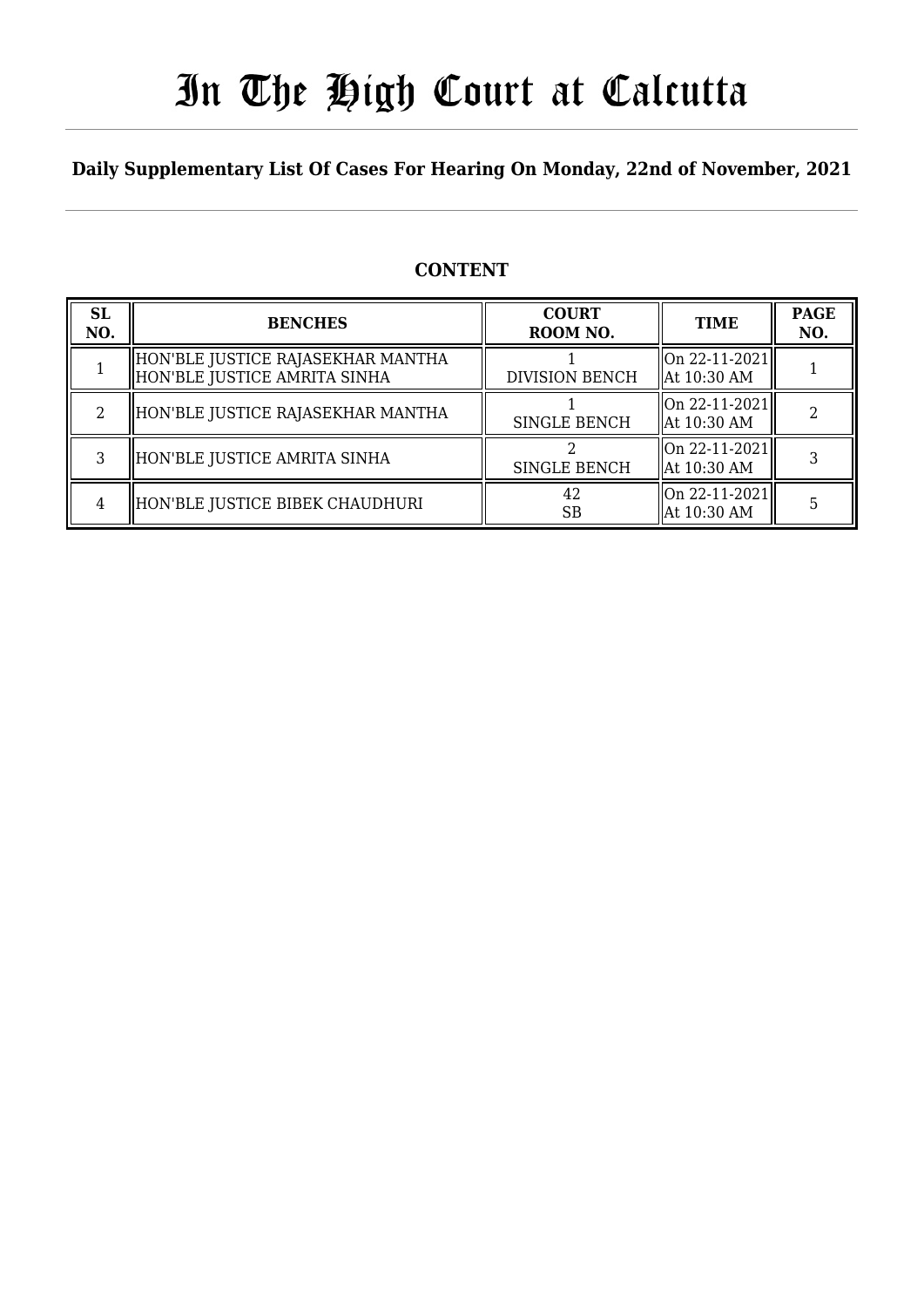# In The High Court at Calcutta

### **Daily Supplementary List Of Cases For Hearing On Monday, 22nd of November, 2021**

## **CONTENT**

| <b>SL</b><br>NO. | <b>BENCHES</b>                                                    | <b>COURT</b><br>ROOM NO. | <b>TIME</b>                    | <b>PAGE</b><br>NO. |
|------------------|-------------------------------------------------------------------|--------------------------|--------------------------------|--------------------|
|                  | HON'BLE JUSTICE RAJASEKHAR MANTHA<br>HON'BLE JUSTICE AMRITA SINHA | <b>DIVISION BENCH</b>    | On 22-11-2021<br>  At 10:30 AM |                    |
|                  | HON'BLE JUSTICE RAJASEKHAR MANTHA                                 | <b>SINGLE BENCH</b>      | On 22-11-2021<br>  At 10:30 AM |                    |
|                  | HON'BLE JUSTICE AMRITA SINHA                                      | <b>SINGLE BENCH</b>      | On 22-11-2021<br>  At 10:30 AM |                    |
| 4                | HON'BLE JUSTICE BIBEK CHAUDHURI                                   | 42<br>SB                 | On 22-11-2021<br>  At 10:30 AM |                    |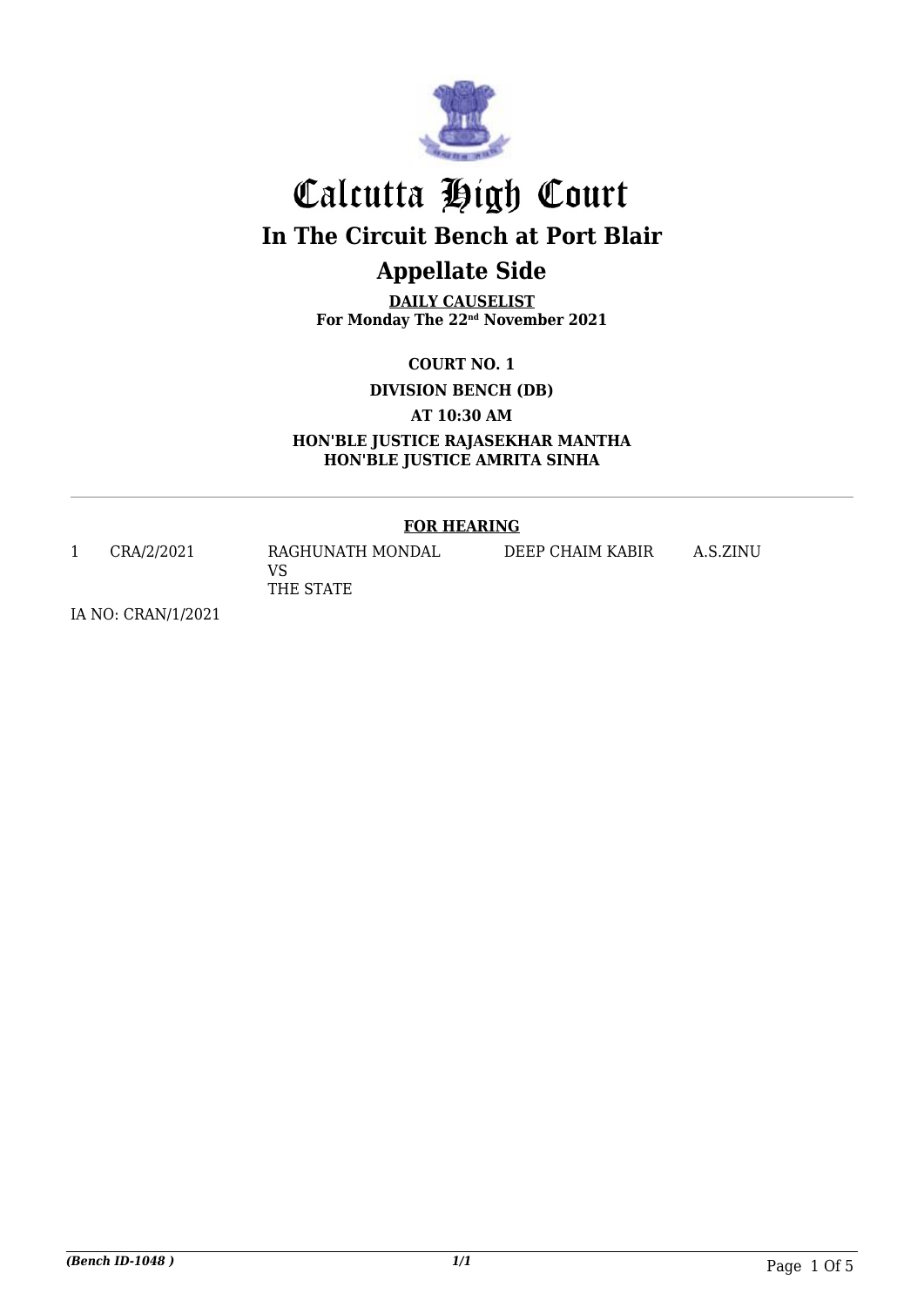

# Calcutta High Court **In The Circuit Bench at Port Blair Appellate Side**

**DAILY CAUSELIST For Monday The 22nd November 2021**

**COURT NO. 1**

**DIVISION BENCH (DB)**

**AT 10:30 AM**

**HON'BLE JUSTICE RAJASEKHAR MANTHA HON'BLE JUSTICE AMRITA SINHA**

#### **FOR HEARING**

1 CRA/2/2021 RAGHUNATH MONDAL VS THE STATE DEEP CHAIM KABIR A.S.ZINU

IA NO: CRAN/1/2021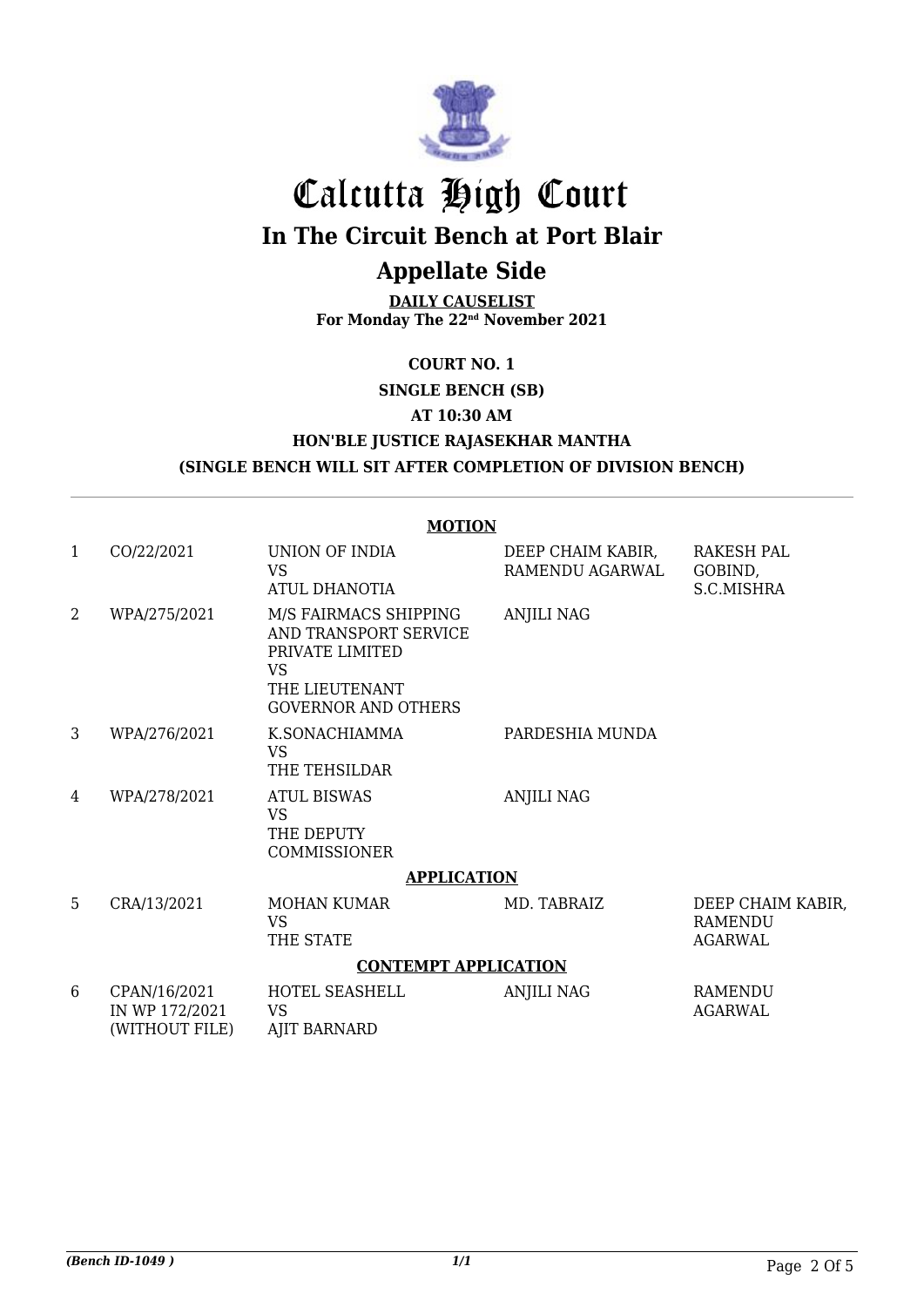

# Calcutta High Court **In The Circuit Bench at Port Blair**

## **Appellate Side**

**DAILY CAUSELIST For Monday The 22nd November 2021**

**COURT NO. 1**

**SINGLE BENCH (SB)**

**AT 10:30 AM**

### **HON'BLE JUSTICE RAJASEKHAR MANTHA (SINGLE BENCH WILL SIT AFTER COMPLETION OF DIVISION BENCH)**

|                             | <b>MOTION</b>                                    |                                                                                                                                |                                      |                                                       |  |  |
|-----------------------------|--------------------------------------------------|--------------------------------------------------------------------------------------------------------------------------------|--------------------------------------|-------------------------------------------------------|--|--|
| $\mathbf{1}$                | CO/22/2021                                       | UNION OF INDIA<br><b>VS</b><br>ATUL DHANOTIA                                                                                   | DEEP CHAIM KABIR,<br>RAMENDU AGARWAL | <b>RAKESH PAL</b><br>GOBIND,<br>S.C.MISHRA            |  |  |
| 2                           | WPA/275/2021                                     | M/S FAIRMACS SHIPPING<br>AND TRANSPORT SERVICE<br>PRIVATE LIMITED<br><b>VS</b><br>THE LIEUTENANT<br><b>GOVERNOR AND OTHERS</b> | <b>ANJILI NAG</b>                    |                                                       |  |  |
| 3                           | WPA/276/2021                                     | K.SONACHIAMMA<br><b>VS</b><br>THE TEHSILDAR                                                                                    | PARDESHIA MUNDA                      |                                                       |  |  |
| 4                           | WPA/278/2021                                     | <b>ATUL BISWAS</b><br><b>VS</b><br>THE DEPUTY<br><b>COMMISSIONER</b>                                                           | <b>ANJILI NAG</b>                    |                                                       |  |  |
| <b>APPLICATION</b>          |                                                  |                                                                                                                                |                                      |                                                       |  |  |
| 5                           | CRA/13/2021                                      | <b>MOHAN KUMAR</b><br><b>VS</b><br>THE STATE                                                                                   | MD. TABRAIZ                          | DEEP CHAIM KABIR,<br><b>RAMENDU</b><br><b>AGARWAL</b> |  |  |
| <b>CONTEMPT APPLICATION</b> |                                                  |                                                                                                                                |                                      |                                                       |  |  |
| 6                           | CPAN/16/2021<br>IN WP 172/2021<br>(WITHOUT FILE) | HOTEL SEASHELL<br><b>VS</b><br><b>AJIT BARNARD</b>                                                                             | <b>ANJILI NAG</b>                    | <b>RAMENDU</b><br><b>AGARWAL</b>                      |  |  |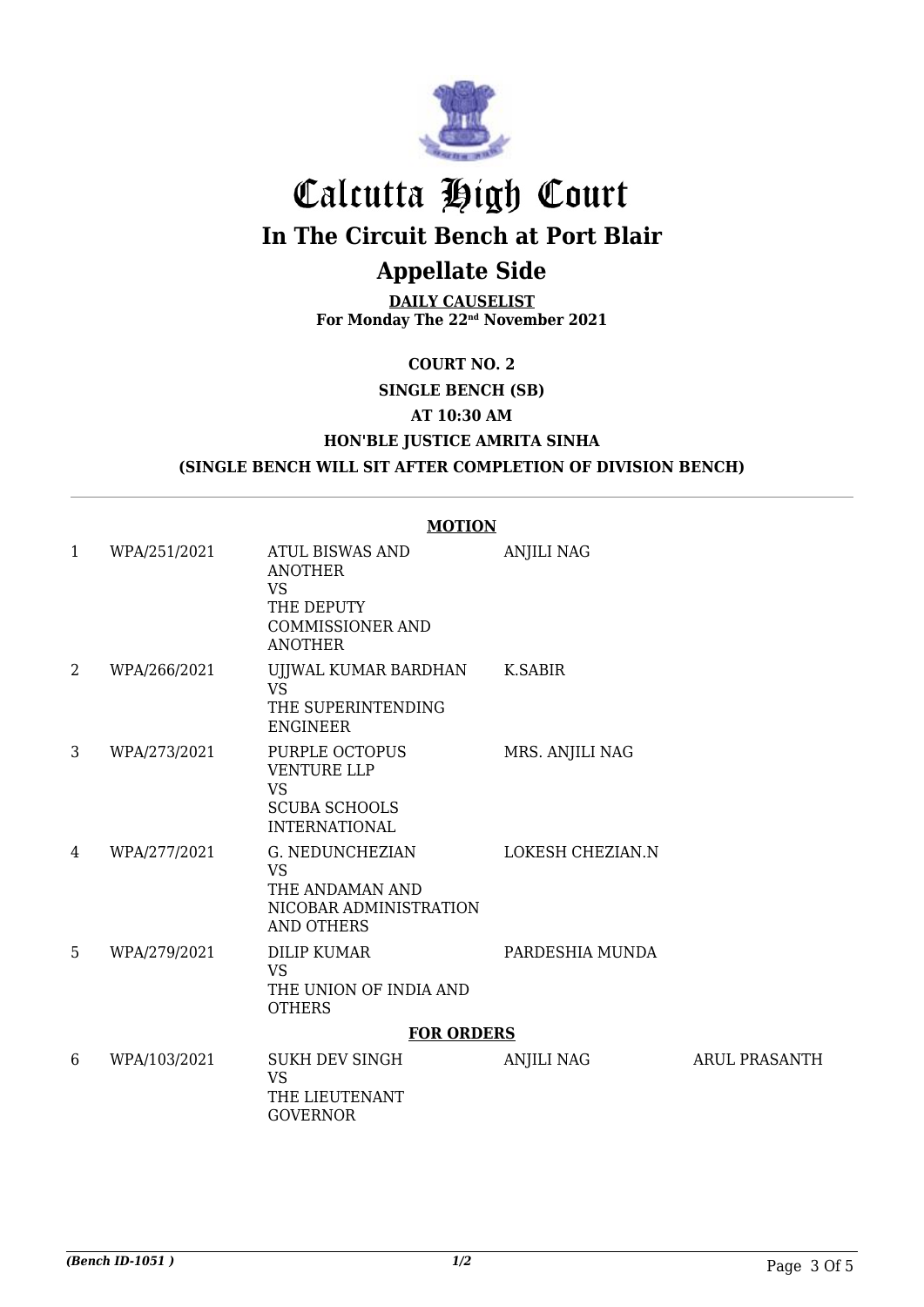

# Calcutta High Court **In The Circuit Bench at Port Blair Appellate Side**

**DAILY CAUSELIST For Monday The 22nd November 2021**

**COURT NO. 2**

**SINGLE BENCH (SB)**

**AT 10:30 AM**

#### **HON'BLE JUSTICE AMRITA SINHA (SINGLE BENCH WILL SIT AFTER COMPLETION OF DIVISION BENCH)**

|                |              | <b>MOTION</b>                                                                                             |                   |                      |
|----------------|--------------|-----------------------------------------------------------------------------------------------------------|-------------------|----------------------|
| 1              | WPA/251/2021 | ATUL BISWAS AND<br><b>ANOTHER</b><br><b>VS</b><br>THE DEPUTY<br><b>COMMISSIONER AND</b><br><b>ANOTHER</b> | <b>ANJILI NAG</b> |                      |
| $\overline{2}$ | WPA/266/2021 | UJJWAL KUMAR BARDHAN<br><b>VS</b><br>THE SUPERINTENDING<br><b>ENGINEER</b>                                | K.SABIR           |                      |
| 3              | WPA/273/2021 | PURPLE OCTOPUS<br><b>VENTURE LLP</b><br><b>VS</b><br><b>SCUBA SCHOOLS</b><br><b>INTERNATIONAL</b>         | MRS. ANJILI NAG   |                      |
| 4              | WPA/277/2021 | G. NEDUNCHEZIAN<br><b>VS</b><br>THE ANDAMAN AND<br>NICOBAR ADMINISTRATION<br><b>AND OTHERS</b>            | LOKESH CHEZIAN.N  |                      |
| 5              | WPA/279/2021 | <b>DILIP KUMAR</b><br><b>VS</b><br>THE UNION OF INDIA AND<br><b>OTHERS</b>                                | PARDESHIA MUNDA   |                      |
|                |              | <b>FOR ORDERS</b>                                                                                         |                   |                      |
| 6              | WPA/103/2021 | <b>SUKH DEV SINGH</b><br><b>VS</b><br>THE LIEUTENANT<br><b>GOVERNOR</b>                                   | <b>ANJILI NAG</b> | <b>ARUL PRASANTH</b> |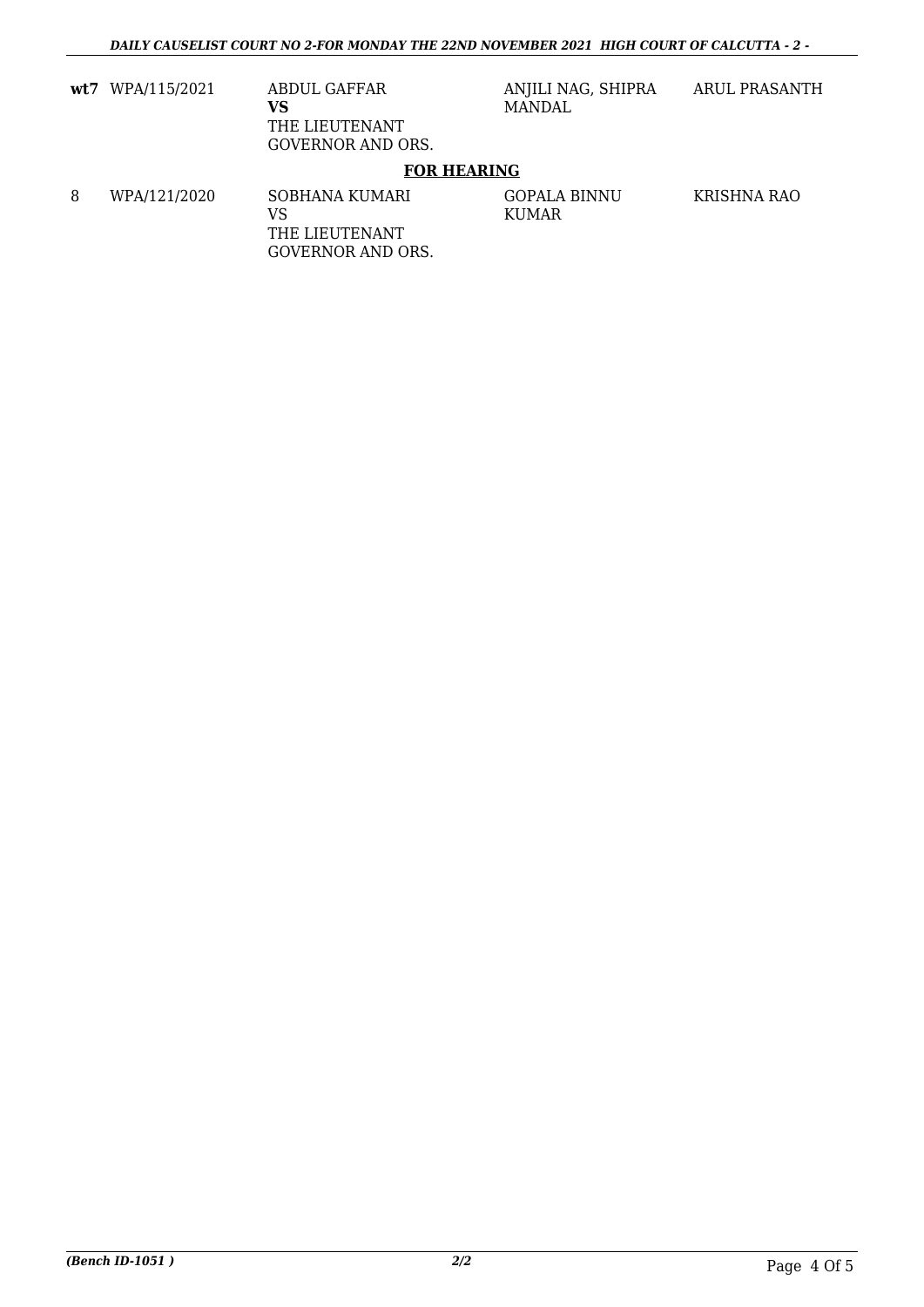**wt7** WPA/115/2021 ABDUL GAFFAR **VS** THE LIEUTENANT ANJILI NAG, SHIPRA MANDAL

GOPALA BINNU

KUMAR

ARUL PRASANTH

KRISHNA RAO

#### **FOR HEARING**

8 WPA/121/2020 SOBHANA KUMARI VS THE LIEUTENANT GOVERNOR AND ORS.

GOVERNOR AND ORS.